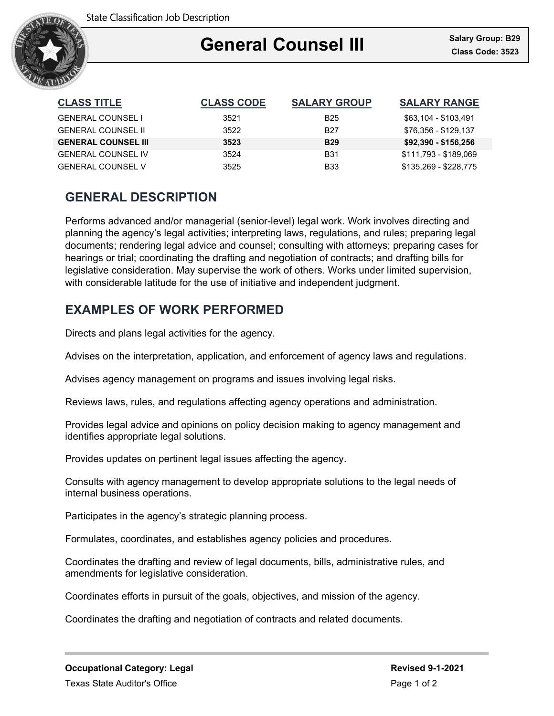

### Ξ **General Counsel III**

| <b>CLASS TITLE</b>         | <b>CLASS CODE</b> | <b>SALARY GROUP</b> | <b>SALARY RANGE</b>   |
|----------------------------|-------------------|---------------------|-----------------------|
| <b>GENERAL COUNSEL I</b>   | 3521              | B <sub>25</sub>     | \$63,104 - \$103,491  |
| <b>GENERAL COUNSEL II</b>  | 3522              | B <sub>27</sub>     | \$76.356 - \$129.137  |
| <b>GENERAL COUNSEL III</b> | 3523              | <b>B29</b>          | \$92,390 - \$156,256  |
| <b>GENERAL COUNSEL IV</b>  | 3524              | <b>B31</b>          | \$111.793 - \$189.069 |
| <b>GENERAL COUNSEL V</b>   | 3525              | <b>B33</b>          | \$135.269 - \$228.775 |

# **GENERAL DESCRIPTION**

Performs advanced and/or managerial (senior-level) legal work. Work involves directing and planning the agency's legal activities; interpreting laws, regulations, and rules; preparing legal documents; rendering legal advice and counsel; consulting with attorneys; preparing cases for hearings or trial; coordinating the drafting and negotiation of contracts; and drafting bills for legislative consideration. May supervise the work of others. Works under limited supervision, with considerable latitude for the use of initiative and independent judgment.

### **EXAMPLES OF WORK PERFORMED**

Directs and plans legal activities for the agency.

Advises on the interpretation, application, and enforcement of agency laws and regulations.

Advises agency management on programs and issues involving legal risks.

Reviews laws, rules, and regulations affecting agency operations and administration.

Provides legal advice and opinions on policy decision making to agency management and identifies appropriate legal solutions.

Provides updates on pertinent legal issues affecting the agency.

Consults with agency management to develop appropriate solutions to the legal needs of internal business operations.

Participates in the agency's strategic planning process.

Formulates, coordinates, and establishes agency policies and procedures.

Coordinates the drafting and review of legal documents, bills, administrative rules, and amendments for legislative consideration.

Coordinates efforts in pursuit of the goals, objectives, and mission of the agency.

Coordinates the drafting and negotiation of contracts and related documents.